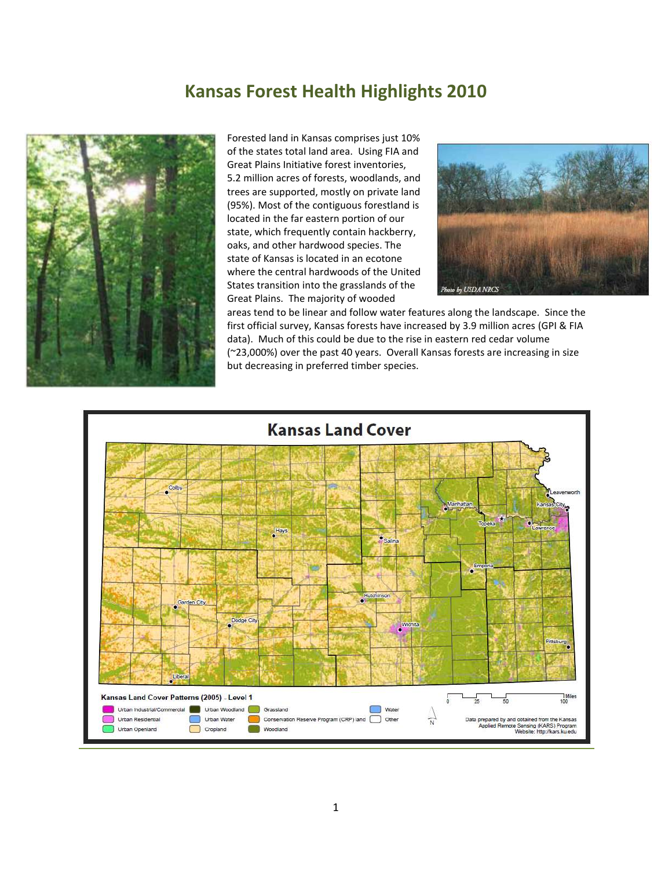# **Kansas Forest Health Highlights 2010**



Forested land in Kansas comprises just 10% of the states total land area. Using FIA and Great Plains Initiative forest inventories, 5.2 million acres of forests, woodlands, and trees are supported, mostly on private land (95%). Most of the contiguous forestland is located in the far eastern portion of our state, which frequently contain hackberry, oaks, and other hardwood species. The state of Kansas is located in an ecotone where the central hardwoods of the United States transition into the grasslands of the Great Plains. The majority of wooded



areas tend to be linear and follow water features along the landscape. Since the first official survey, Kansas forests have increased by 3.9 million acres (GPI & FIA data). Much of this could be due to the rise in eastern red cedar volume (~23,000%) over the past 40 years. Overall Kansas forests are increasing in size but decreasing in preferred timber species.

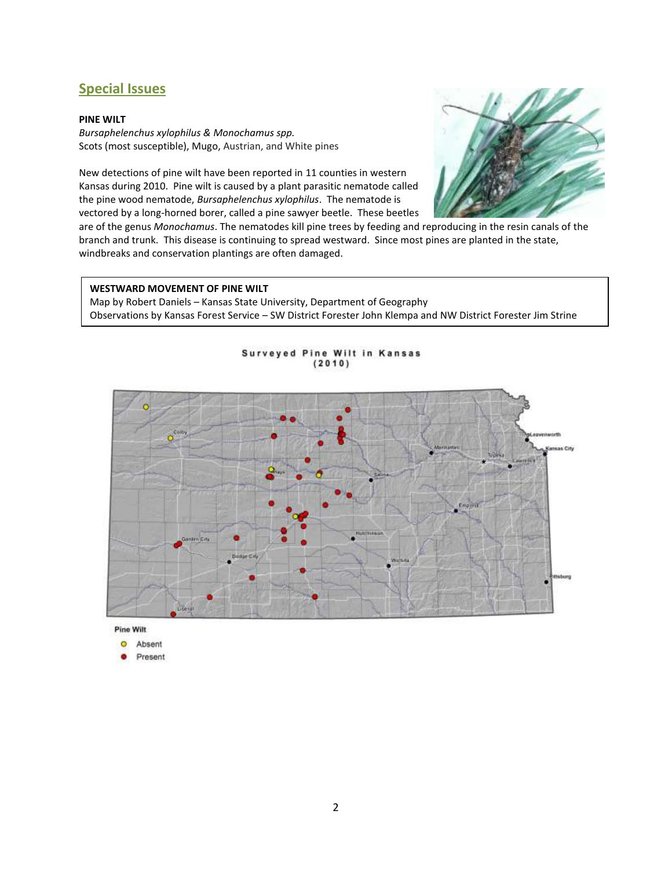# **Special Issues**

# **PINE WILT**

*Bursaphelenchus xylophilus & Monochamus spp.* Scots (most susceptible), Mugo, Austrian, and White pines

New detections of pine wilt have been reported in 11 counties in western Kansas during 2010. Pine wilt is caused by a plant parasitic nematode called the pine wood nematode, *Bursaphelenchus xylophilus*. The nematode is vectored by a long-horned borer, called a pine sawyer beetle. These beetles



are of the genus *Monochamus*. The nematodes kill pine trees by feeding and reproducing in the resin canals of the branch and trunk. This disease is continuing to spread westward. Since most pines are planted in the state, windbreaks and conservation plantings are often damaged.

# **WESTWARD MOVEMENT OF PINE WILT**

Present

Map by Robert Daniels – Kansas State University, Department of Geography Observations by Kansas Forest Service – SW District Forester John Klempa and NW District Forester Jim Strine



Surveyed Pine Wilt in Kansas  $(2010)$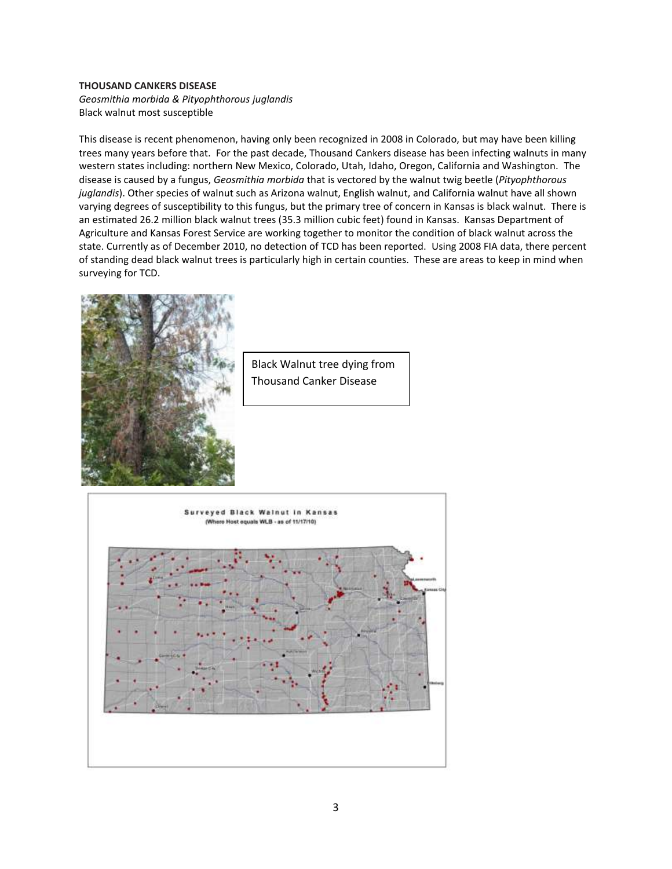#### **THOUSAND CANKERS DISEASE**

*Geosmithia morbida & Pityophthorous juglandis* Black walnut most susceptible

This disease is recent phenomenon, having only been recognized in 2008 in Colorado, but may have been killing trees many years before that. For the past decade, Thousand Cankers disease has been infecting walnuts in many western states including: northern New Mexico, Colorado, Utah, Idaho, Oregon, California and Washington. The disease is caused by a fungus, *Geosmithia morbida* that is vectored by the walnut twig beetle (*Pityophthorous juglandis*). Other species of walnut such as Arizona walnut, English walnut, and California walnut have all shown varying degrees of susceptibility to this fungus, but the primary tree of concern in Kansas is black walnut. There is an estimated 26.2 million black walnut trees (35.3 million cubic feet) found in Kansas. Kansas Department of Agriculture and Kansas Forest Service are working together to monitor the condition of black walnut across the state. Currently as of December 2010, no detection of TCD has been reported. Using 2008 FIA data, there percent of standing dead black walnut trees is particularly high in certain counties. These are areas to keep in mind when surveying for TCD.



Black Walnut tree dying from Thousand Canker Disease